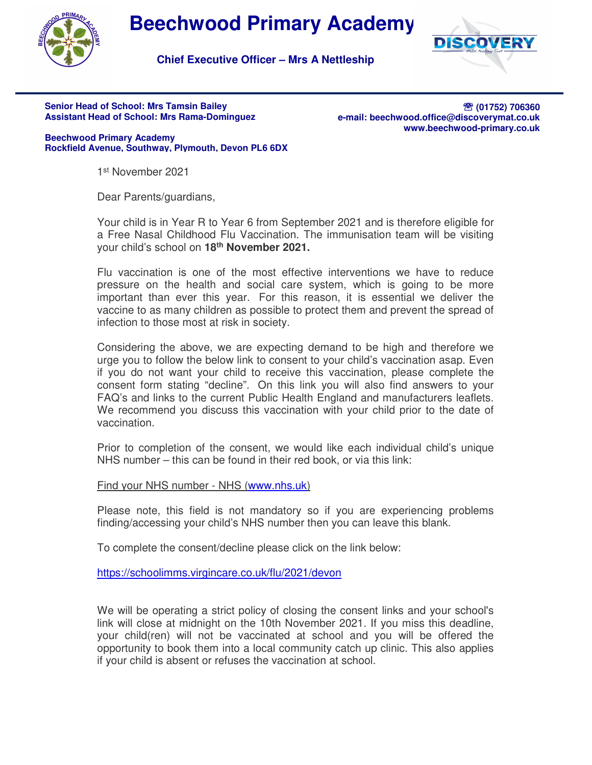

## **Beechwood Primary Academy**



**Chief Executive Officer – Mrs A Nettleship**

## **Senior Head of School: Mrs Tamsin Bailey Assistant Head of School: Mrs Rama-Dominguez**

**<sup>2</sup> (01752) 706360 e-mail: beechwood.office@discoverymat.co.uk www.beechwood-primary.co.uk**

**Beechwood Primary Academy Rockfield Avenue, Southway, Plymouth, Devon PL6 6DX**

1 st November 2021

Dear Parents/guardians,

Your child is in Year R to Year 6 from September 2021 and is therefore eligible for a Free Nasal Childhood Flu Vaccination. The immunisation team will be visiting your child's school on **18th November 2021.**

Flu vaccination is one of the most effective interventions we have to reduce pressure on the health and social care system, which is going to be more important than ever this year. For this reason, it is essential we deliver the vaccine to as many children as possible to protect them and prevent the spread of infection to those most at risk in society.

Considering the above, we are expecting demand to be high and therefore we urge you to follow the below link to consent to your child's vaccination asap. Even if you do not want your child to receive this vaccination, please complete the consent form stating "decline". On this link you will also find answers to your FAQ's and links to the current Public Health England and manufacturers leaflets. We recommend you discuss this vaccination with your child prior to the date of vaccination.

Prior to completion of the consent, we would like each individual child's unique NHS number – this can be found in their red book, or via this link:

Find your NHS number - NHS (www.nhs.uk)

Please note, this field is not mandatory so if you are experiencing problems finding/accessing your child's NHS number then you can leave this blank.

To complete the consent/decline please click on the link below:

https://schoolimms.virgincare.co.uk/flu/2021/devon

We will be operating a strict policy of closing the consent links and your school's link will close at midnight on the 10th November 2021. If you miss this deadline, your child(ren) will not be vaccinated at school and you will be offered the opportunity to book them into a local community catch up clinic. This also applies if your child is absent or refuses the vaccination at school.